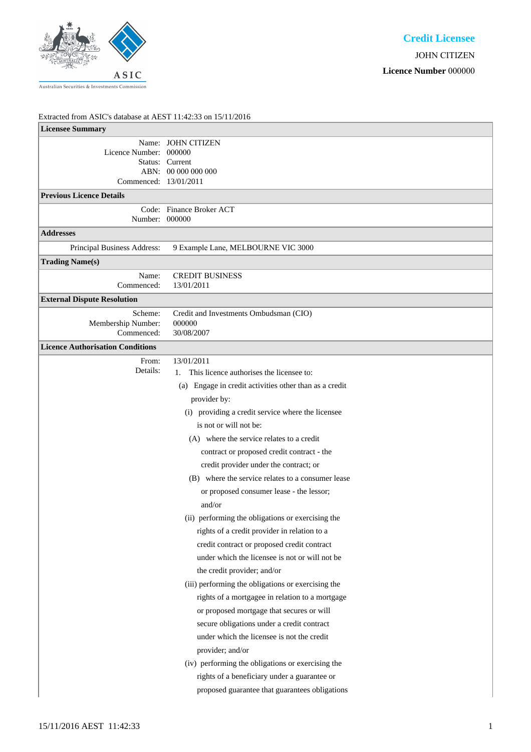

## Extracted from ASIC's database at AEST 11:42:33 on 15/11/2016

| <b>Licensee Summary</b>                         |                                                                                                                                                                                                                                                                                                                                                                                                                                                                                                                                                                                                                                                                                                                                                                                                                                                                                                                                                                                                                                                                                                                                         |
|-------------------------------------------------|-----------------------------------------------------------------------------------------------------------------------------------------------------------------------------------------------------------------------------------------------------------------------------------------------------------------------------------------------------------------------------------------------------------------------------------------------------------------------------------------------------------------------------------------------------------------------------------------------------------------------------------------------------------------------------------------------------------------------------------------------------------------------------------------------------------------------------------------------------------------------------------------------------------------------------------------------------------------------------------------------------------------------------------------------------------------------------------------------------------------------------------------|
| Licence Number: 000000<br>Commenced: 13/01/2011 | Name: JOHN CITIZEN<br>Status: Current<br>ABN: 00 000 000 000                                                                                                                                                                                                                                                                                                                                                                                                                                                                                                                                                                                                                                                                                                                                                                                                                                                                                                                                                                                                                                                                            |
| <b>Previous Licence Details</b>                 |                                                                                                                                                                                                                                                                                                                                                                                                                                                                                                                                                                                                                                                                                                                                                                                                                                                                                                                                                                                                                                                                                                                                         |
| Number: 000000                                  | Code: Finance Broker ACT                                                                                                                                                                                                                                                                                                                                                                                                                                                                                                                                                                                                                                                                                                                                                                                                                                                                                                                                                                                                                                                                                                                |
| <b>Addresses</b>                                |                                                                                                                                                                                                                                                                                                                                                                                                                                                                                                                                                                                                                                                                                                                                                                                                                                                                                                                                                                                                                                                                                                                                         |
| Principal Business Address:                     | 9 Example Lane, MELBOURNE VIC 3000                                                                                                                                                                                                                                                                                                                                                                                                                                                                                                                                                                                                                                                                                                                                                                                                                                                                                                                                                                                                                                                                                                      |
| <b>Trading Name(s)</b>                          |                                                                                                                                                                                                                                                                                                                                                                                                                                                                                                                                                                                                                                                                                                                                                                                                                                                                                                                                                                                                                                                                                                                                         |
| Name:<br>Commenced:                             | <b>CREDIT BUSINESS</b><br>13/01/2011                                                                                                                                                                                                                                                                                                                                                                                                                                                                                                                                                                                                                                                                                                                                                                                                                                                                                                                                                                                                                                                                                                    |
| <b>External Dispute Resolution</b>              |                                                                                                                                                                                                                                                                                                                                                                                                                                                                                                                                                                                                                                                                                                                                                                                                                                                                                                                                                                                                                                                                                                                                         |
| Scheme:<br>Membership Number:<br>Commenced:     | Credit and Investments Ombudsman (CIO)<br>000000<br>30/08/2007                                                                                                                                                                                                                                                                                                                                                                                                                                                                                                                                                                                                                                                                                                                                                                                                                                                                                                                                                                                                                                                                          |
| <b>Licence Authorisation Conditions</b>         |                                                                                                                                                                                                                                                                                                                                                                                                                                                                                                                                                                                                                                                                                                                                                                                                                                                                                                                                                                                                                                                                                                                                         |
| From:<br>Details:                               | 13/01/2011<br>This licence authorises the licensee to:<br>1.<br>(a) Engage in credit activities other than as a credit<br>provider by:<br>(i) providing a credit service where the licensee<br>is not or will not be:<br>(A) where the service relates to a credit<br>contract or proposed credit contract - the<br>credit provider under the contract; or<br>(B) where the service relates to a consumer lease<br>or proposed consumer lease - the lessor;<br>and/or<br>(ii) performing the obligations or exercising the<br>rights of a credit provider in relation to a<br>credit contract or proposed credit contract<br>under which the licensee is not or will not be<br>the credit provider; and/or<br>(iii) performing the obligations or exercising the<br>rights of a mortgagee in relation to a mortgage<br>or proposed mortgage that secures or will<br>secure obligations under a credit contract<br>under which the licensee is not the credit<br>provider; and/or<br>(iv) performing the obligations or exercising the<br>rights of a beneficiary under a guarantee or<br>proposed guarantee that guarantees obligations |